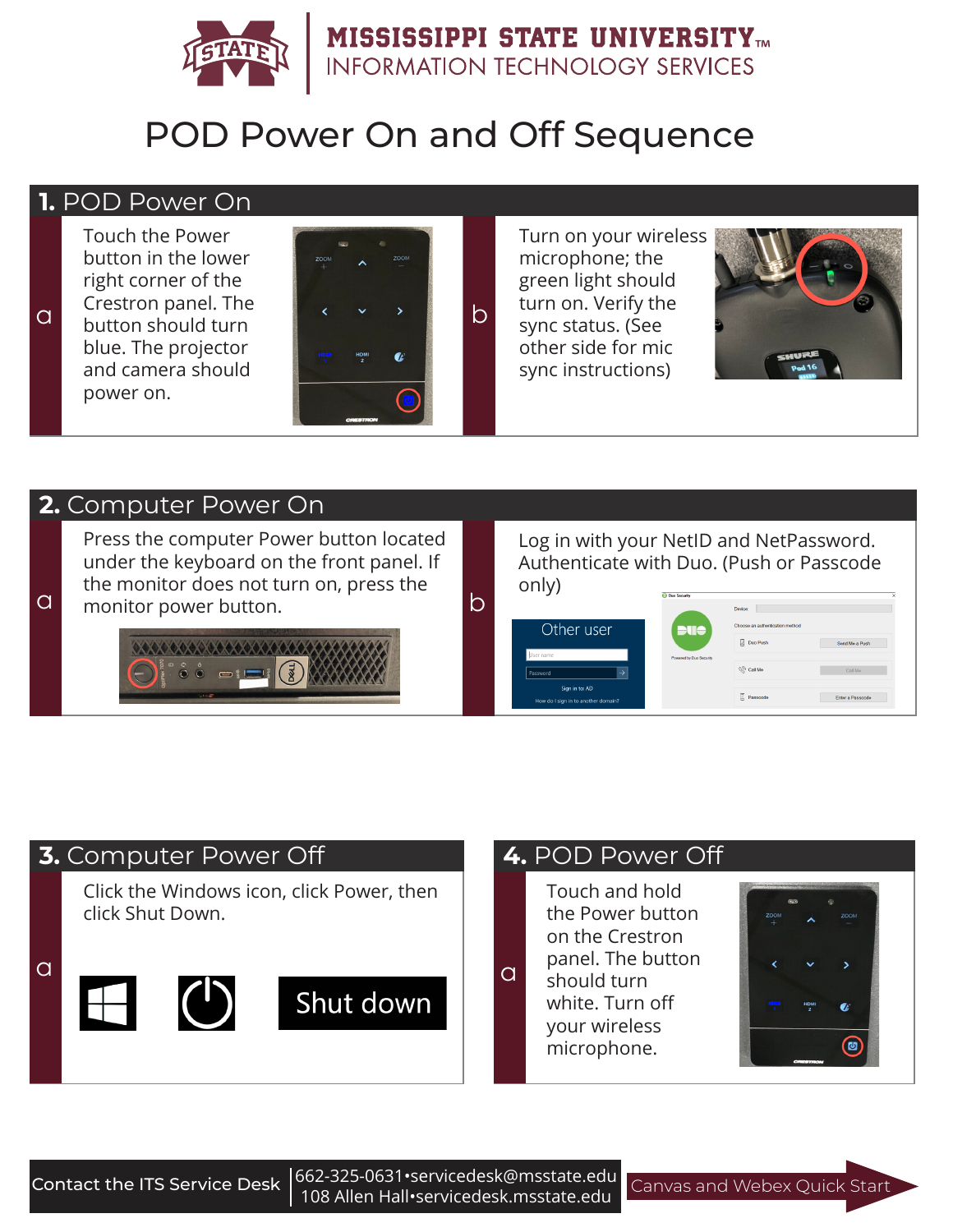

# POD Power On and Off Sequence

# **1.** POD Power On

Touch the Power button in the lower right corner of the Crestron panel. The blue. The projector and camera should power on.



Turn on your wireless microphone; the green light should turn on. Verify the sync status. (See other side for mic sync instructions)



#### **2.** Computer Power On

Press the computer Power button located under the keyboard on the front panel. If the monitor does not turn on, press the **a** a monitor power button.



#### Log in with your NetID and NetPassword. Authenticate with Duo. (Push or Passcode only) **Charles**

| Other user                          |               | Choose an authentication method<br>ue |                  |
|-------------------------------------|---------------|---------------------------------------|------------------|
|                                     |               | Duo Push                              | Send Me a Push   |
| User name                           |               | Powered by Duo Security               |                  |
| Password                            | $\rightarrow$ | $\mathbb{Q}^{\mathbb{Q}}$ Call Me     | Call Mo          |
| Sign in to: AD                      |               |                                       |                  |
| How do I sign in to another domain? |               | Passcode                              | Enter a Passcode |

# Click the Windows icon, click Power, then click Shut Down.  $\alpha$  and  $\alpha$  and  $\alpha$ **3.** Computer Power Off **4.** POD Power Off

Touch and hold the Power button on the Crestron panel. The button

should turn white. Turn off your wireless microphone.